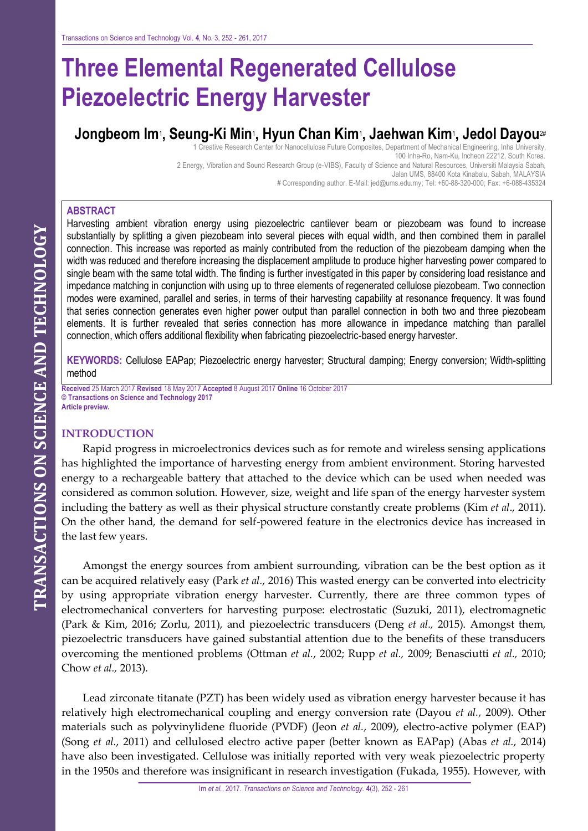# **Three Elemental Regenerated Cellulose Piezoelectric Energy Harvester**

## **Jongbeom Im**<sup>1</sup> **, Seung-Ki Min**<sup>1</sup> **, Hyun Chan Kim**<sup>1</sup> **, Jaehwan Kim**<sup>1</sup> **, Jedol Dayou**2#

1 Creative Research Center for Nanocellulose Future Composites, Department of Mechanical Engineering, Inha University, 100 Inha-Ro, Nam-Ku, Incheon 22212, South Korea. 2 Energy, Vibration and Sound Research Group (e-VIBS), Faculty of Science and Natural Resources, Universiti Malaysia Sabah, Jalan UMS, 88400 Kota Kinabalu, Sabah, MALAYSIA

# Corresponding author. E-Mail: jed@ums.edu.my; Tel: +60-88-320-000; Fax: +6-088-435324

## **ABSTRACT**

Harvesting ambient vibration energy using piezoelectric cantilever beam or piezobeam was found to increase substantially by splitting a given piezobeam into several pieces with equal width, and then combined them in parallel connection. This increase was reported as mainly contributed from the reduction of the piezobeam damping when the width was reduced and therefore increasing the displacement amplitude to produce higher harvesting power compared to single beam with the same total width. The finding is further investigated in this paper by considering load resistance and impedance matching in conjunction with using up to three elements of regenerated cellulose piezobeam. Two connection modes were examined, parallel and series, in terms of their harvesting capability at resonance frequency. It was found that series connection generates even higher power output than parallel connection in both two and three piezobeam elements. It is further revealed that series connection has more allowance in impedance matching than parallel connection, which offers additional flexibility when fabricating piezoelectric-based energy harvester.

**KEYWORDS:** Cellulose EAPap; Piezoelectric energy harvester; Structural damping; Energy conversion; Width-splitting method

**Received** 25 March 2017 **Revised** 18 May 2017 **Accepted** 8 August 2017 **Online** 16 October 2017 **© Transactions on Science and Technology 2017 Article preview.**

## **INTRODUCTION**

Rapid progress in microelectronics devices such as for remote and wireless sensing applications has highlighted the importance of harvesting energy from ambient environment. Storing harvested energy to a rechargeable battery that attached to the device which can be used when needed was considered as common solution. However, size, weight and life span of the energy harvester system including the battery as well as their physical structure constantly create problems (Kim *et al*., 2011). On the other hand, the demand for self-powered feature in the electronics device has increased in the last few years.

Amongst the energy sources from ambient surrounding, vibration can be the best option as it can be acquired relatively easy (Park *et al.*, 2016) This wasted energy can be converted into electricity by using appropriate vibration energy harvester. Currently, there are three common types of electromechanical converters for harvesting purpose: electrostatic (Suzuki, 2011), electromagnetic (Park & Kim, 2016; Zorlu, 2011), and piezoelectric transducers (Deng *et al.,* 2015). Amongst them, piezoelectric transducers have gained substantial attention due to the benefits of these transducers overcoming the mentioned problems (Ottman *et al.*, 2002; Rupp *et al.,* 2009; Benasciutti *et al.,* 2010; Chow *et al.,* 2013).

Lead zirconate titanate (PZT) has been widely used as vibration energy harvester because it has relatively high electromechanical coupling and energy conversion rate (Dayou *et al.*, 2009). Other materials such as polyvinylidene fluoride (PVDF) (Jeon *et al.*, 2009), electro-active polymer (EAP) (Song *et al.*, 2011) and cellulosed electro active paper (better known as EAPap) (Abas *et al.*, 2014) have also been investigated. Cellulose was initially reported with very weak piezoelectric property in the 1950s and therefore was insignificant in research investigation (Fukada, 1955). However, with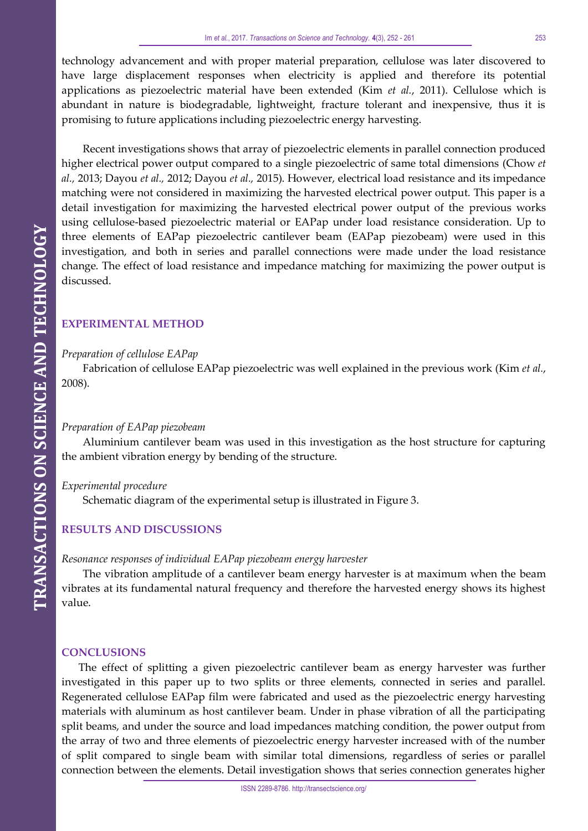technology advancement and with proper material preparation, cellulose was later discovered to have large displacement responses when electricity is applied and therefore its potential applications as piezoelectric material have been extended (Kim *et al.*, 2011). Cellulose which is abundant in nature is biodegradable, lightweight, fracture tolerant and inexpensive, thus it is promising to future applications including piezoelectric energy harvesting.

Recent investigations shows that array of piezoelectric elements in parallel connection produced higher electrical power output compared to a single piezoelectric of same total dimensions (Chow *et al.,* 2013; Dayou *et al.,* 2012; Dayou *et al.,* 2015). However, electrical load resistance and its impedance matching were not considered in maximizing the harvested electrical power output. This paper is a detail investigation for maximizing the harvested electrical power output of the previous works using cellulose-based piezoelectric material or EAPap under load resistance consideration. Up to three elements of EAPap piezoelectric cantilever beam (EAPap piezobeam) were used in this investigation, and both in series and parallel connections were made under the load resistance change. The effect of load resistance and impedance matching for maximizing the power output is discussed.

## **EXPERIMENTAL METHOD**

#### *Preparation of cellulose EAPap*

Fabrication of cellulose EAPap piezoelectric was well explained in the previous work (Kim *et al.*, 2008).

#### *Preparation of EAPap piezobeam*

Aluminium cantilever beam was used in this investigation as the host structure for capturing the ambient vibration energy by bending of the structure.

#### *Experimental procedure*

Schematic diagram of the experimental setup is illustrated in Figure 3.

#### **RESULTS AND DISCUSSIONS**

#### *Resonance responses of individual EAPap piezobeam energy harvester*

The vibration amplitude of a cantilever beam energy harvester is at maximum when the beam vibrates at its fundamental natural frequency and therefore the harvested energy shows its highest value.

### **CONCLUSIONS**

The effect of splitting a given piezoelectric cantilever beam as energy harvester was further investigated in this paper up to two splits or three elements, connected in series and parallel. Regenerated cellulose EAPap film were fabricated and used as the piezoelectric energy harvesting materials with aluminum as host cantilever beam. Under in phase vibration of all the participating split beams, and under the source and load impedances matching condition, the power output from the array of two and three elements of piezoelectric energy harvester increased with of the number of split compared to single beam with similar total dimensions, regardless of series or parallel connection between the elements. Detail investigation shows that series connection generates higher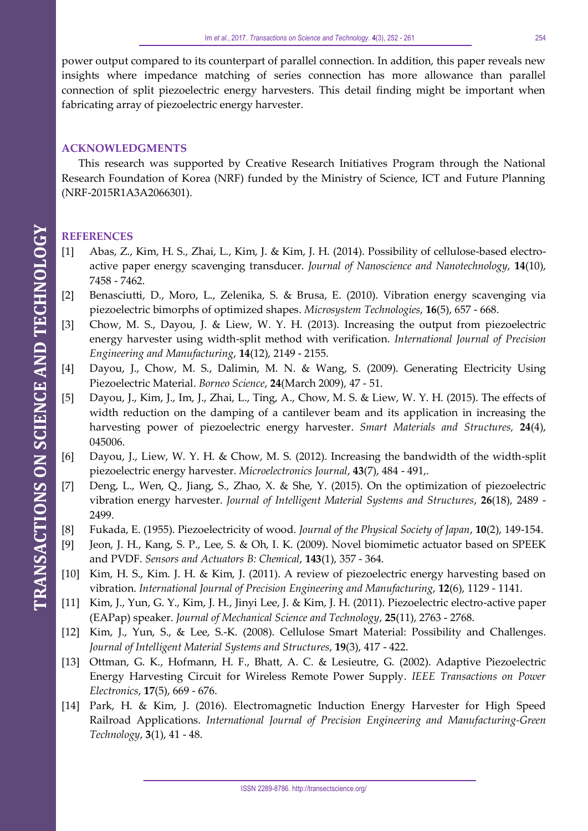power output compared to its counterpart of parallel connection. In addition, this paper reveals new insights where impedance matching of series connection has more allowance than parallel connection of split piezoelectric energy harvesters. This detail finding might be important when fabricating array of piezoelectric energy harvester.

## **ACKNOWLEDGMENTS**

This research was supported by Creative Research Initiatives Program through the National Research Foundation of Korea (NRF) funded by the Ministry of Science, ICT and Future Planning (NRF-2015R1A3A2066301).

## **REFERENCES**

- [1] Abas, Z., Kim, H. S., Zhai, L., Kim, J. & Kim, J. H. (2014). Possibility of cellulose-based electroactive paper energy scavenging transducer. *Journal of Nanoscience and Nanotechnology*, **14**(10), 7458 - 7462.
- [2] Benasciutti, D., Moro, L., Zelenika, S. & Brusa, E. (2010). Vibration energy scavenging via piezoelectric bimorphs of optimized shapes. *Microsystem Technologies*, **16**(5), 657 - 668.
- [3] Chow, M. S., Dayou, J. & Liew, W. Y. H. (2013). Increasing the output from piezoelectric energy harvester using width-split method with verification. *International Journal of Precision Engineering and Manufacturing*, **14**(12), 2149 - 2155.
- [4] Dayou, J., Chow, M. S., Dalimin, M. N. & Wang, S. (2009). Generating Electricity Using Piezoelectric Material. *Borneo Science*, **24**(March 2009), 47 - 51.
- [5] Dayou, J., Kim, J., Im, J., Zhai, L., Ting, A., Chow, M. S. & Liew, W. Y. H. (2015). The effects of width reduction on the damping of a cantilever beam and its application in increasing the harvesting power of piezoelectric energy harvester. *Smart Materials and Structures,* **24**(4), 045006.
- [6] Dayou, J., Liew, W. Y. H. & Chow, M. S. (2012). Increasing the bandwidth of the width-split piezoelectric energy harvester. *Microelectronics Journal*, **43**(7), 484 - 491,.
- [7] Deng, L., Wen, Q., Jiang, S., Zhao, X. & She, Y. (2015). On the optimization of piezoelectric vibration energy harvester. *Journal of Intelligent Material Systems and Structures*, **26**(18), 2489 - 2499.
- [8] Fukada, E. (1955). Piezoelectricity of wood. *Journal of the Physical Society of Japan*, **10**(2), 149-154.
- [9] Jeon, J. H., Kang, S. P., Lee, S. & Oh, I. K. (2009). Novel biomimetic actuator based on SPEEK and PVDF. *Sensors and Actuators B: Chemical*, **143**(1), 357 - 364.
- [10] Kim, H. S., Kim. J. H. & Kim, J. (2011). A review of piezoelectric energy harvesting based on vibration. *International Journal of Precision Engineering and Manufacturing*, **12**(6), 1129 - 1141.
- [11] Kim, J., Yun, G. Y., Kim, J. H., Jinyi Lee, J. & Kim, J. H. (2011). Piezoelectric electro-active paper (EAPap) speaker. *Journal of Mechanical Science and Technology*, **25**(11), 2763 - 2768.
- [12] Kim, J., Yun, S., & Lee, S.-K. (2008). Cellulose Smart Material: Possibility and Challenges. *Journal of Intelligent Material Systems and Structures*, **19**(3), 417 - 422.
- [13] Ottman, G. K., Hofmann, H. F., Bhatt, A. C. & Lesieutre, G. (2002). Adaptive Piezoelectric Energy Harvesting Circuit for Wireless Remote Power Supply. *IEEE Transactions on Power Electronics*, **17**(5), 669 - 676.
- [14] Park, H. & Kim, J. (2016). Electromagnetic Induction Energy Harvester for High Speed Railroad Applications. *International Journal of Precision Engineering and Manufacturing-Green Technology*, **3**(1), 41 - 48.